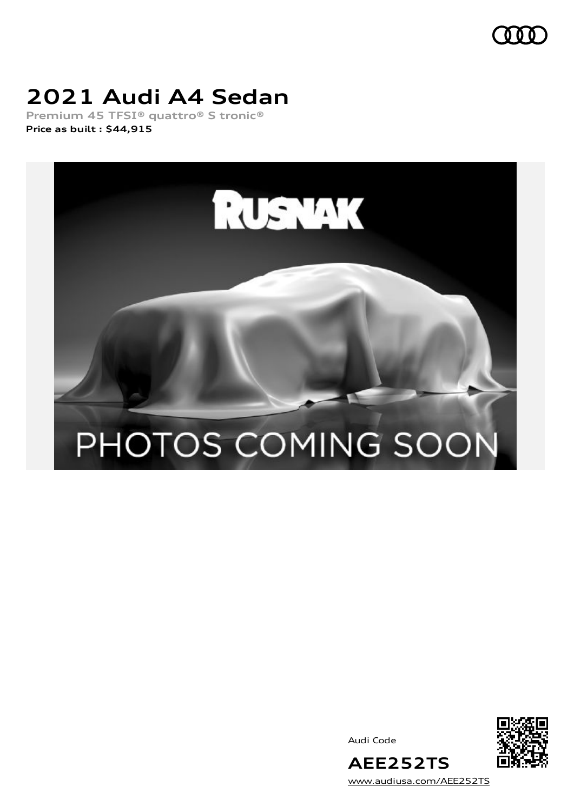

## **2021 Audi A4 Sedan**

**Premium 45 TFSI® quattro® S tronic® Price as built [:](#page-10-0) \$44,915**







[www.audiusa.com/AEE252TS](https://www.audiusa.com/AEE252TS)

**AEE252TS**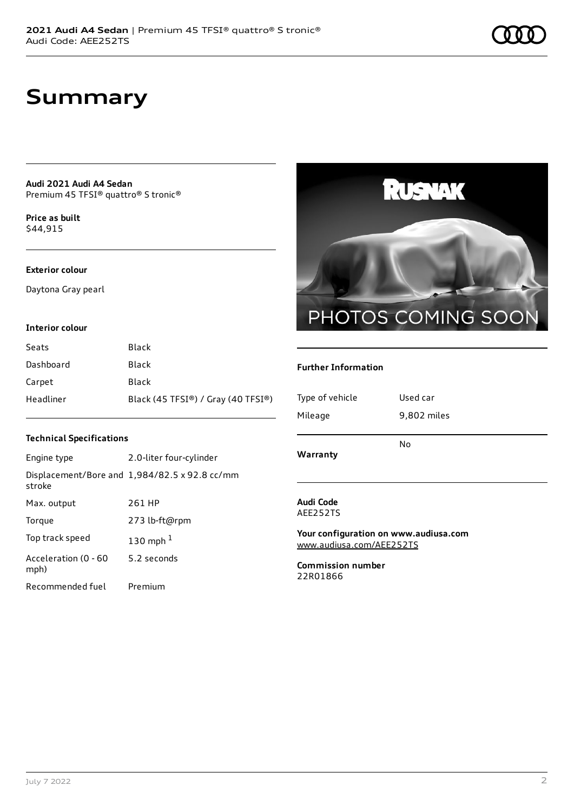### **Summary**

**Audi 2021 Audi A4 Sedan** Premium 45 TFSI® quattro® S tronic®

**Price as buil[t](#page-10-0)** \$44,915

#### **Exterior colour**

Daytona Gray pearl

#### **Interior colour**

| Seats     | Black                              |
|-----------|------------------------------------|
| Dashboard | Black                              |
| Carpet    | Black                              |
| Headliner | Black (45 TFSI®) / Gray (40 TFSI®) |

### **Technical Specifications**

| Engine type                  | 2.0-liter four-cylinder                              |
|------------------------------|------------------------------------------------------|
| stroke                       | Displacement/Bore and $1,984/82.5 \times 92.8$ cc/mm |
| Max. output                  | 261 HP                                               |
| Torque                       | 273 lb-ft@rpm                                        |
| Top track speed              | 130 mph $1$                                          |
| Acceleration (0 - 60<br>mph) | 5.2 seconds                                          |
| Recommended fuel             | Premium                                              |



### **Further Information**

| Type of vehicle<br>Mileage | Used car<br>9,802 miles |
|----------------------------|-------------------------|
| Warranty                   | No                      |
| Audi Code                  |                         |

AEE252TS

**Your configuration on www.audiusa.com** [www.audiusa.com/AEE252TS](https://www.audiusa.com/AEE252TS)

**Commission number** 22R01866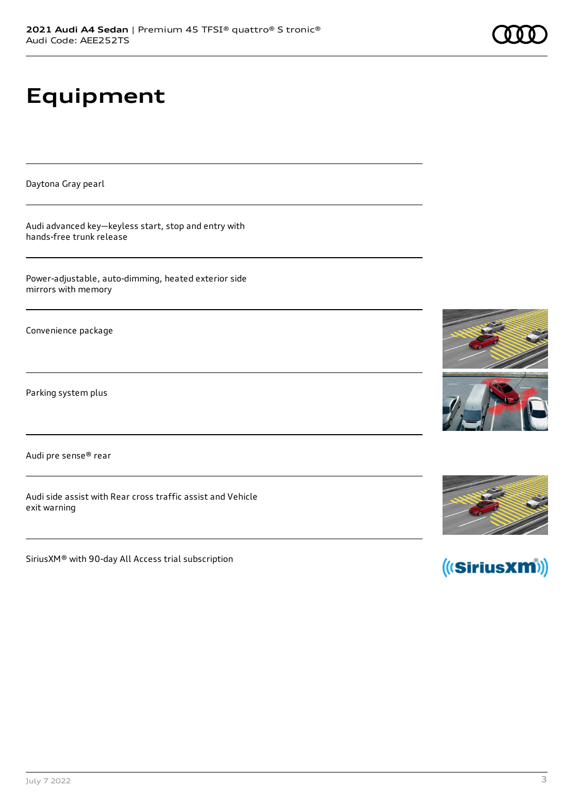# **Equipment**

Daytona Gray pearl

Audi advanced key—keyless start, stop and entry with hands-free trunk release

Power-adjustable, auto-dimming, heated exterior side mirrors with memory

Convenience package

Parking system plus

Audi pre sense® rear

Audi side assist with Rear cross traffic assist and Vehicle exit warning

SiriusXM® with 90-day All Access trial subscription







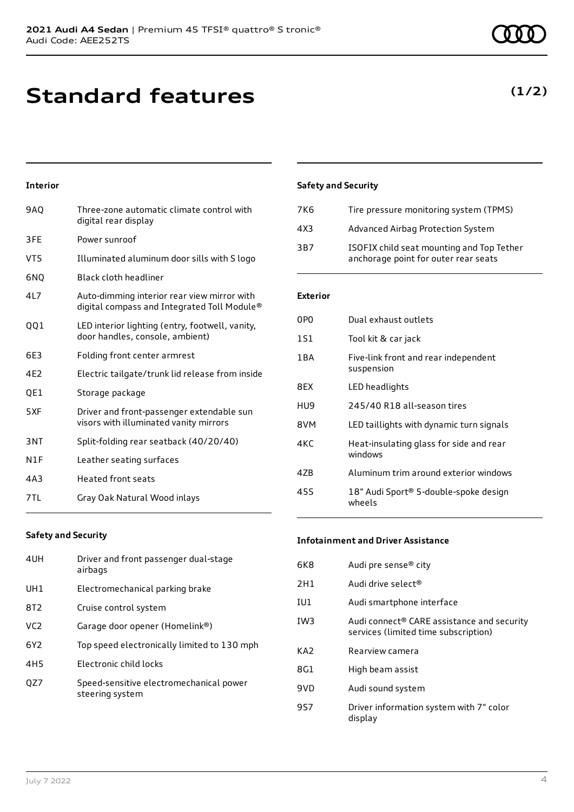**Standard features**

### **Interior**

| 9AQ | Three-zone automatic climate control with<br>digital rear display                          |
|-----|--------------------------------------------------------------------------------------------|
| 3FE | Power sunroof                                                                              |
| VT5 | Illuminated aluminum door sills with S logo                                                |
| 6NQ | Black cloth headliner                                                                      |
| 4L7 | Auto-dimming interior rear view mirror with<br>digital compass and Integrated Toll Module® |
| 001 | LED interior lighting (entry, footwell, vanity,<br>door handles, console, ambient)         |
| 6E3 | Folding front center armrest                                                               |
| 4E2 | Electric tailgate/trunk lid release from inside                                            |
| QE1 | Storage package                                                                            |
| 5XF | Driver and front-passenger extendable sun<br>visors with illuminated vanity mirrors        |
| 3NT | Split-folding rear seatback (40/20/40)                                                     |
| N1F | Leather seating surfaces                                                                   |
| 4A3 | <b>Heated front seats</b>                                                                  |
| 7TL | Gray Oak Natural Wood inlays                                                               |
|     |                                                                                            |

### **Safety and Security**

| 7K6             | Tire pressure monitoring system (TPMS)                                            |
|-----------------|-----------------------------------------------------------------------------------|
| 4X3             | Advanced Airbag Protection System                                                 |
| 3 <sub>B7</sub> | ISOFIX child seat mounting and Top Tether<br>anchorage point for outer rear seats |

### **Exterior**

| 0PO   | Dual exhaust outlets                               |
|-------|----------------------------------------------------|
| 1S1   | Tool kit & car jack                                |
| 1 B A | Five-link front and rear independent<br>suspension |
| 8FX   | LED headlights                                     |
| HU9   | 245/40 R18 all-season tires                        |
| 8VM   | LED taillights with dynamic turn signals           |
| 4KC   | Heat-insulating glass for side and rear<br>windows |
| 47B   | Aluminum trim around exterior windows              |
| 455   | 18" Audi Sport® 5-double-spoke design<br>wheels    |

### **Safety and Security**

| 4UH             | Driver and front passenger dual-stage<br>airbags           |
|-----------------|------------------------------------------------------------|
| UH1             | Electromechanical parking brake                            |
| 8T <sub>2</sub> | Cruise control system                                      |
| VC <sub>2</sub> | Garage door opener (Homelink®)                             |
| 6Y <sub>2</sub> | Top speed electronically limited to 130 mph                |
| 4H <sub>5</sub> | Electronic child locks                                     |
| OZ7             | Speed-sensitive electromechanical power<br>steering system |

#### **Infotainment and Driver Assistance**

| 6K8 | Audi pre sense® city                                                               |
|-----|------------------------------------------------------------------------------------|
| 2H1 | Audi drive select <sup>®</sup>                                                     |
| IU1 | Audi smartphone interface                                                          |
| IW3 | Audi connect® CARE assistance and security<br>services (limited time subscription) |
| KA2 | Rearview camera                                                                    |
| 8G1 | High beam assist                                                                   |
| 9VD | Audi sound system                                                                  |
| 9S7 | Driver information system with 7" color<br>display                                 |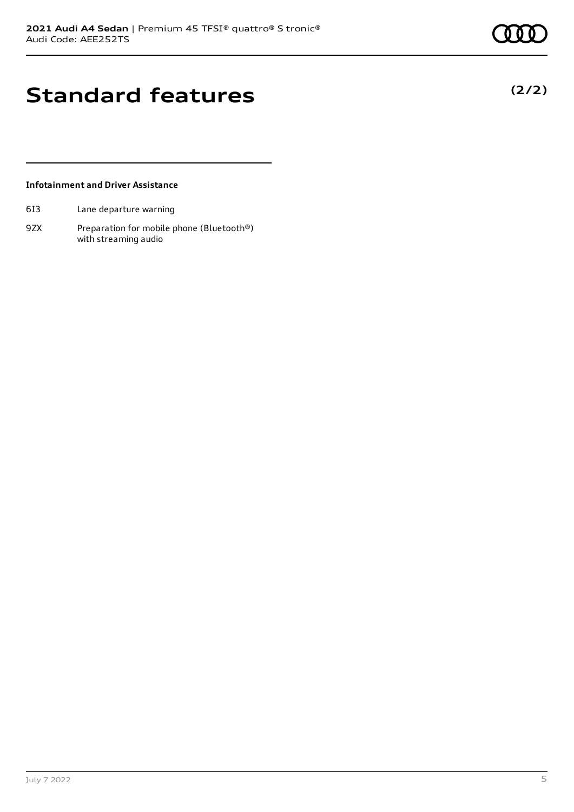### **Standard features**

### **Infotainment and Driver Assistance**

- 6I3 Lane departure warning
- 9ZX Preparation for mobile phone (Bluetooth®) with streaming audio

**(2/2)**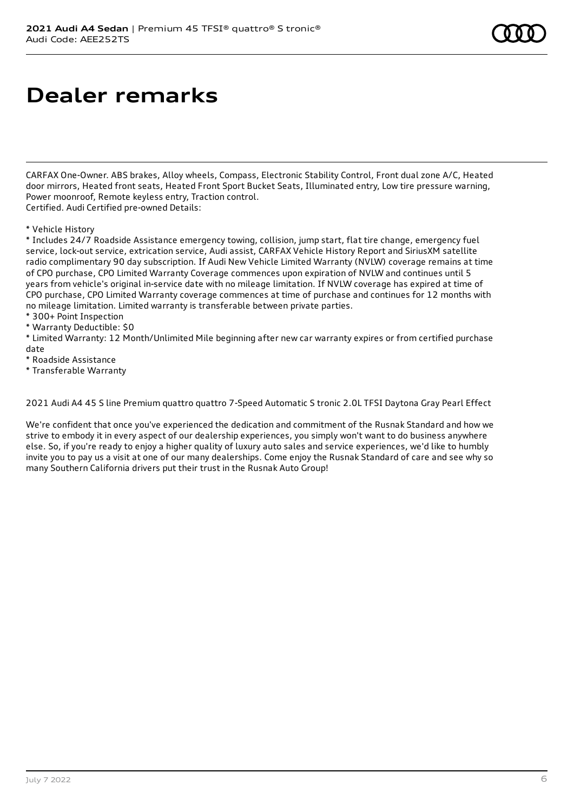### **Dealer remarks**

CARFAX One-Owner. ABS brakes, Alloy wheels, Compass, Electronic Stability Control, Front dual zone A/C, Heated door mirrors, Heated front seats, Heated Front Sport Bucket Seats, Illuminated entry, Low tire pressure warning, Power moonroof, Remote keyless entry, Traction control. Certified. Audi Certified pre-owned Details:

#### \* Vehicle History

\* Includes 24/7 Roadside Assistance emergency towing, collision, jump start, flat tire change, emergency fuel service, lock-out service, extrication service, Audi assist, CARFAX Vehicle History Report and SiriusXM satellite radio complimentary 90 day subscription. If Audi New Vehicle Limited Warranty (NVLW) coverage remains at time of CPO purchase, CPO Limited Warranty Coverage commences upon expiration of NVLW and continues until 5 years from vehicle's original in-service date with no mileage limitation. If NVLW coverage has expired at time of CPO purchase, CPO Limited Warranty coverage commences at time of purchase and continues for 12 months with no mileage limitation. Limited warranty is transferable between private parties.

\* 300+ Point Inspection

\* Warranty Deductible: \$0

\* Limited Warranty: 12 Month/Unlimited Mile beginning after new car warranty expires or from certified purchase date

\* Roadside Assistance

\* Transferable Warranty

2021 Audi A4 45 S line Premium quattro quattro 7-Speed Automatic S tronic 2.0L TFSI Daytona Gray Pearl Effect

We're confident that once you've experienced the dedication and commitment of the Rusnak Standard and how we strive to embody it in every aspect of our dealership experiences, you simply won't want to do business anywhere else. So, if you're ready to enjoy a higher quality of luxury auto sales and service experiences, we'd like to humbly invite you to pay us a visit at one of our many dealerships. Come enjoy the Rusnak Standard of care and see why so many Southern California drivers put their trust in the Rusnak Auto Group!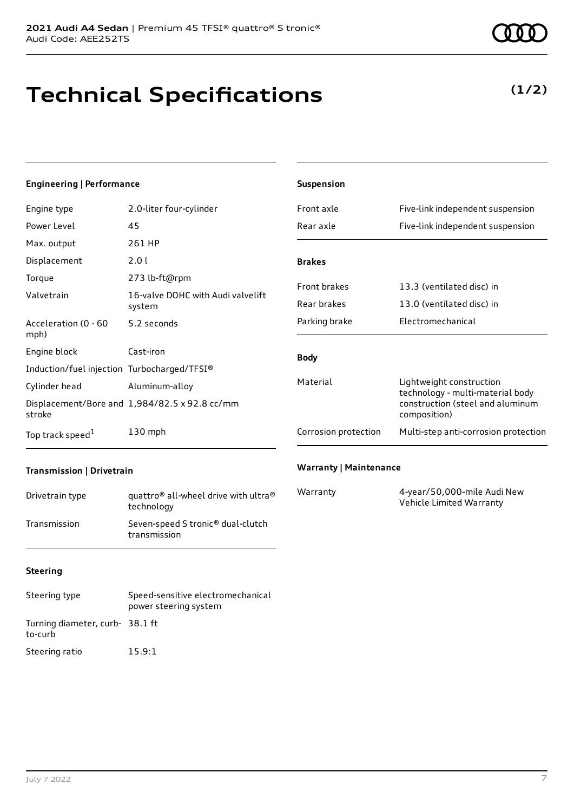# **Technical Specifications**

### **Engineering | Performance**

| Engine type                                 | 2.0-liter four-cylinder                       |
|---------------------------------------------|-----------------------------------------------|
| Power Level                                 | 45                                            |
| Max. output                                 | 261 HP                                        |
| Displacement                                | 2.0 L                                         |
| Torque                                      | 273 lb-ft@rpm                                 |
| Valvetrain                                  | 16-valve DOHC with Audi valvelift<br>system   |
| Acceleration (0 - 60<br>mph)                | 5.2 seconds                                   |
| Engine block                                | Cast-iron                                     |
| Induction/fuel injection Turbocharged/TFSI® |                                               |
| Cylinder head                               | Aluminum-alloy                                |
| stroke                                      | Displacement/Bore and 1,984/82.5 x 92.8 cc/mm |
| Top track speed <sup>1</sup>                | $130$ mph                                     |

| Front axle           | Five-link independent suspension                                                                                 |
|----------------------|------------------------------------------------------------------------------------------------------------------|
| Rear axle            | Five-link independent suspension                                                                                 |
| <b>Brakes</b>        |                                                                                                                  |
| <b>Front brakes</b>  | 13.3 (ventilated disc) in                                                                                        |
| Rear brakes          | 13.0 (ventilated disc) in                                                                                        |
| Parking brake        | Flectromechanical                                                                                                |
| <b>Body</b>          |                                                                                                                  |
| Material             | Lightweight construction<br>technology - multi-material body<br>construction (steel and aluminum<br>composition) |
| Corrosion protection | Multi-step anti-corrosion protection                                                                             |

### **Transmission | Drivetrain**

| Drivetrain type | quattro <sup>®</sup> all-wheel drive with ultra <sup>®</sup><br>technology |
|-----------------|----------------------------------------------------------------------------|
| Transmission    | Seven-speed S tronic <sup>®</sup> dual-clutch<br>transmission              |

### **Steering**

| Steering type                             | Speed-sensitive electromechanical<br>power steering system |
|-------------------------------------------|------------------------------------------------------------|
| Turning diameter, curb-38.1 ft<br>to-curb |                                                            |
| Steering ratio                            | 15.9:1                                                     |

### **Warranty | Maintenance**

**Suspension**

| Warranty | 4-year/50,000-mile Audi New |
|----------|-----------------------------|
|          | Vehicle Limited Warranty    |

**(1/2)**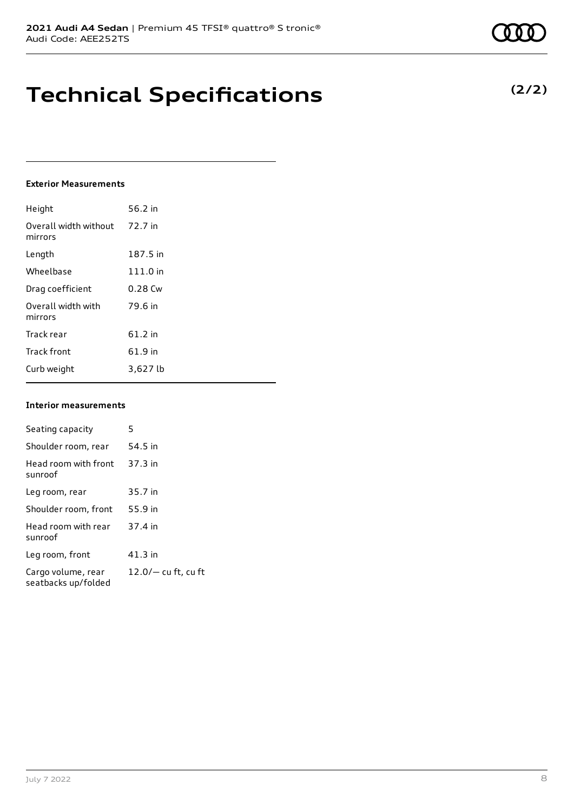| July 7 2022 |  |
|-------------|--|
|-------------|--|

### **Technical Specifications**

#### **Exterior Measurements**

| Height                           | 56.2 in   |
|----------------------------------|-----------|
| Overall width without<br>mirrors | 72.7 in   |
| Length                           | 187.5 in  |
| Wheelbase                        | 111.0 in  |
| Drag coefficient                 | $0.28$ Cw |
| Overall width with<br>mirrors    | 79.6 in   |
| Track rear                       | $61.2$ in |
| <b>Track front</b>               | 61.9 in   |
| Curb weight                      | 3,627 lb  |

#### **Interior measurem**

| Seating capacity                          | 5                     |
|-------------------------------------------|-----------------------|
| Shoulder room, rear                       | 54.5 in               |
| Head room with front<br>sunroof           | $37.3$ in             |
| Leg room, rear                            | 35.7 in               |
| Shoulder room, front                      | 55.9 in               |
| Head room with rear<br>sunroof            | 37.4 in               |
| Leg room, front                           | $41.3$ in             |
| Cargo volume, rear<br>seatbacks up/folded | $12.0/-$ cu ft, cu ft |

|      | 111.0 in  |
|------|-----------|
|      | $0.28$ Cw |
|      | 79.6 in   |
|      |           |
|      | 61.2 in   |
|      | 61.9 in   |
|      | 3,627 lb  |
| ents |           |
|      |           |
|      | 5         |



### **(2/2)**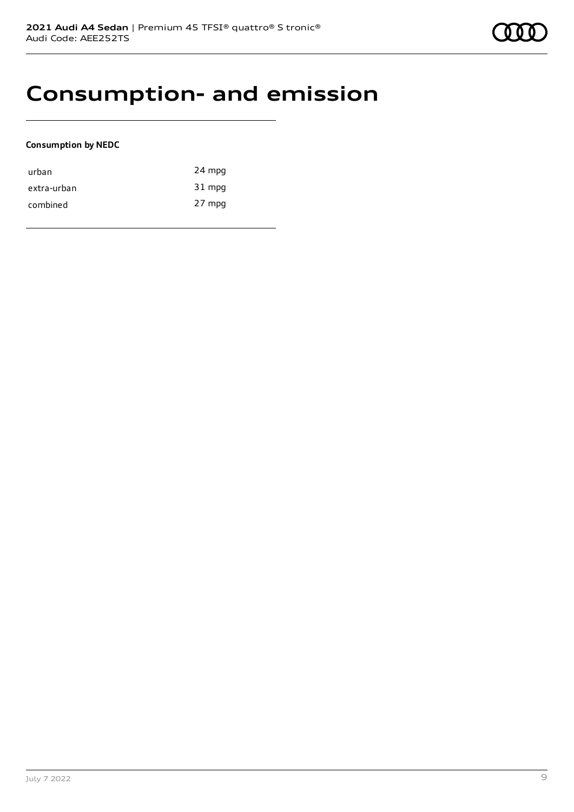

### **Consumption- and emission**

### **Consumption by NEDC**

| urban       | 24 mpg |
|-------------|--------|
| extra-urban | 31 mpg |
| combined    | 27 mpg |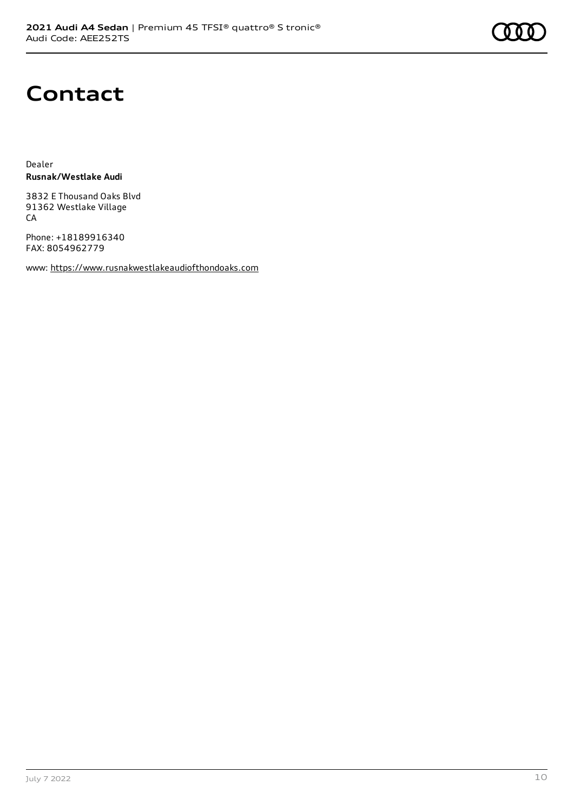

### **Contact**

Dealer **Rusnak/Westlake Audi**

3832 E Thousand Oaks Blvd 91362 Westlake Village CA

Phone: +18189916340 FAX: 8054962779

www: [https://www.rusnakwestlakeaudiofthondoaks.com](https://www.rusnakwestlakeaudiofthondoaks.com/)